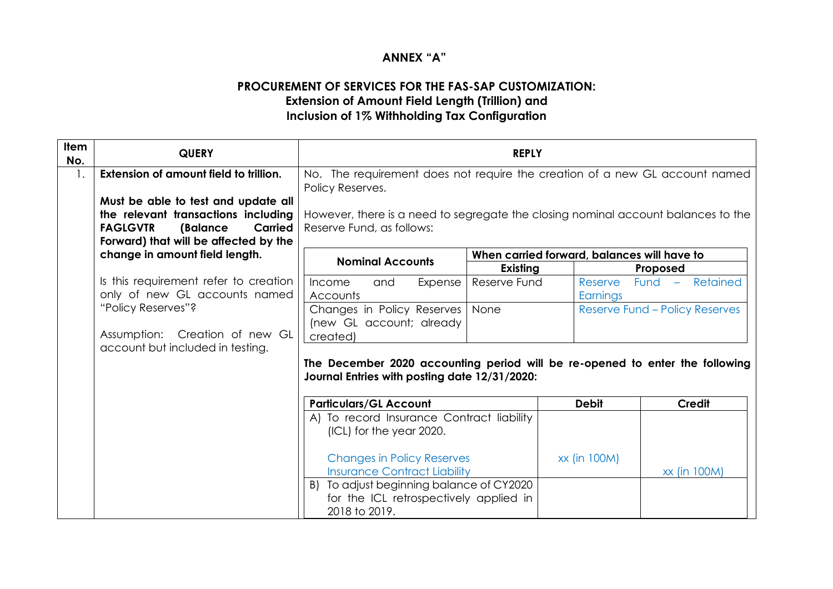## **ANNEX "A"**

## **PROCUREMENT OF SERVICES FOR THE FAS-SAP CUSTOMIZATION: Extension of Amount Field Length (Trillion) and Inclusion of 1% Withholding Tax Configuration**

| <b>Item</b><br>No. | <b>QUERY</b>                                                                                                                                                         | <b>REPLY</b>                                                                                                                  |              |                                             |                                |
|--------------------|----------------------------------------------------------------------------------------------------------------------------------------------------------------------|-------------------------------------------------------------------------------------------------------------------------------|--------------|---------------------------------------------|--------------------------------|
| 1.                 | Extension of amount field to trillion.                                                                                                                               | No. The requirement does not require the creation of a new GL account named<br>Policy Reserves.                               |              |                                             |                                |
|                    | Must be able to test and update all<br>the relevant transactions including<br><b>FAGLGVTR</b><br>(Balance<br><b>Carried</b><br>Forward) that will be affected by the | However, there is a need to segregate the closing nominal account balances to the<br>Reserve Fund, as follows:                |              |                                             |                                |
|                    | change in amount field length.                                                                                                                                       | <b>Nominal Accounts</b>                                                                                                       |              | When carried forward, balances will have to |                                |
|                    |                                                                                                                                                                      |                                                                                                                               | Existing     |                                             | Proposed                       |
|                    | Is this requirement refer to creation<br>only of new GL accounts named                                                                                               | Expense<br>Income<br>and<br>Accounts                                                                                          | Reserve Fund | Reserve<br>Earnings                         | Retained<br>Fund $-$           |
|                    | "Policy Reserves"?                                                                                                                                                   | Changes in Policy Reserves<br>(new GL account; already                                                                        | None         |                                             | Reserve Fund - Policy Reserves |
|                    | Assumption: Creation of new GL<br>account but included in testing.                                                                                                   | created)                                                                                                                      |              |                                             |                                |
|                    |                                                                                                                                                                      | The December 2020 accounting period will be re-opened to enter the following<br>Journal Entries with posting date 12/31/2020: |              |                                             |                                |
|                    |                                                                                                                                                                      | <b>Particulars/GL Account</b>                                                                                                 |              | <b>Debit</b>                                | <b>Credit</b>                  |
|                    |                                                                                                                                                                      | A) To record Insurance Contract liability<br>(ICL) for the year 2020.                                                         |              |                                             |                                |
|                    |                                                                                                                                                                      | <b>Changes in Policy Reserves</b><br><b>Insurance Contract Liability</b>                                                      |              | xx (in 100M)                                | xx (in 100M)                   |
|                    |                                                                                                                                                                      | To adjust beginning balance of CY2020<br>B)<br>for the ICL retrospectively applied in<br>2018 to 2019.                        |              |                                             |                                |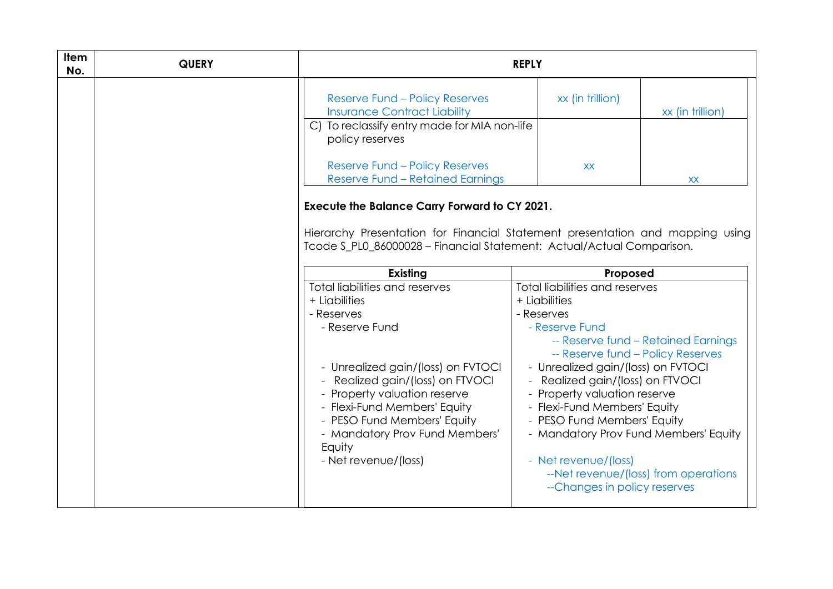| Item<br>No. | <b>QUERY</b> | <b>REPLY</b>                                                                                                                                                                                                                                                                                                               |                                                                                                                                                                                                                                                                                                                                                                                                                                                                                      |  |
|-------------|--------------|----------------------------------------------------------------------------------------------------------------------------------------------------------------------------------------------------------------------------------------------------------------------------------------------------------------------------|--------------------------------------------------------------------------------------------------------------------------------------------------------------------------------------------------------------------------------------------------------------------------------------------------------------------------------------------------------------------------------------------------------------------------------------------------------------------------------------|--|
|             |              | <b>Reserve Fund - Policy Reserves</b><br><b>Insurance Contract Liability</b>                                                                                                                                                                                                                                               | xx (in trillion)<br>xx (in trillion)                                                                                                                                                                                                                                                                                                                                                                                                                                                 |  |
|             |              | C) To reclassify entry made for MIA non-life<br>policy reserves                                                                                                                                                                                                                                                            |                                                                                                                                                                                                                                                                                                                                                                                                                                                                                      |  |
|             |              | <b>Reserve Fund - Policy Reserves</b><br><b>Reserve Fund - Retained Earnings</b>                                                                                                                                                                                                                                           | <b>XX</b><br><b>XX</b>                                                                                                                                                                                                                                                                                                                                                                                                                                                               |  |
|             |              | <b>Execute the Balance Carry Forward to CY 2021.</b><br>Tcode S_PL0_86000028 - Financial Statement: Actual/Actual Comparison.                                                                                                                                                                                              | Hierarchy Presentation for Financial Statement presentation and mapping using                                                                                                                                                                                                                                                                                                                                                                                                        |  |
|             |              | <b>Existing</b>                                                                                                                                                                                                                                                                                                            | Proposed                                                                                                                                                                                                                                                                                                                                                                                                                                                                             |  |
|             |              | Total liabilities and reserves<br>+ Liabilities<br>- Reserves<br>- Reserve Fund<br>- Unrealized gain/(loss) on FVTOCI<br>Realized gain/(loss) on FTVOCI<br>- Property valuation reserve<br>- Flexi-Fund Members' Equity<br>- PESO Fund Members' Equity<br>- Mandatory Prov Fund Members'<br>Equity<br>- Net revenue/(loss) | <b>Total liabilities and reserves</b><br>+ Liabilities<br>- Reserves<br>- Reserve Fund<br>-- Reserve fund - Retained Earnings<br>-- Reserve fund - Policy Reserves<br>- Unrealized gain/(loss) on FVTOCI<br>- Realized gain/(loss) on FTVOCI<br>- Property valuation reserve<br>- Flexi-Fund Members' Equity<br>- PESO Fund Members' Equity<br>- Mandatory Prov Fund Members' Equity<br>- Net revenue/(loss)<br>--Net revenue/(loss) from operations<br>--Changes in policy reserves |  |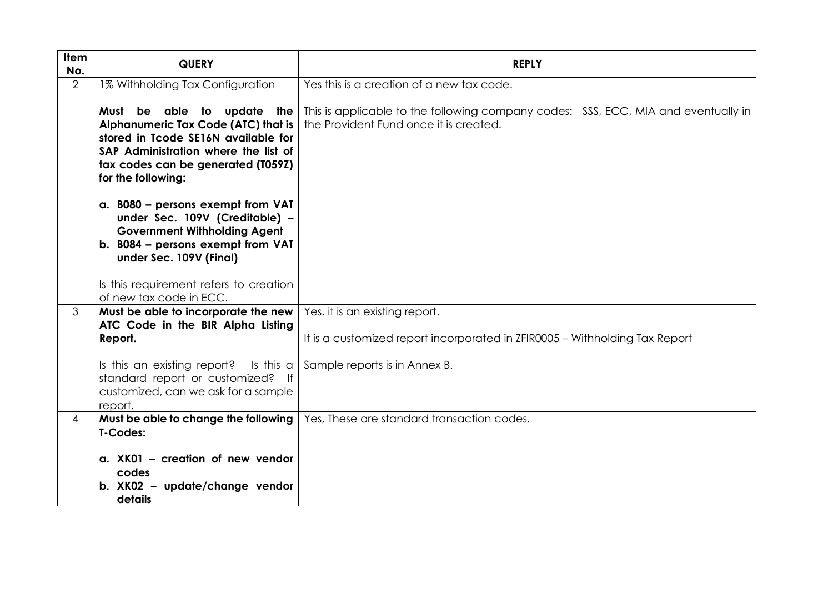| Item<br>No.    | <b>QUERY</b>                                                                                                                                                                                                                                    | <b>REPLY</b>                                                                                                                 |
|----------------|-------------------------------------------------------------------------------------------------------------------------------------------------------------------------------------------------------------------------------------------------|------------------------------------------------------------------------------------------------------------------------------|
| $\overline{2}$ | 1% Withholding Tax Configuration                                                                                                                                                                                                                | Yes this is a creation of a new tax code.                                                                                    |
|                | Must be able to update the<br>Alphanumeric Tax Code (ATC) that is<br>stored in Tcode SE16N available for<br>SAP Administration where the list of<br>tax codes can be generated (T059Z)<br>for the following:                                    | This is applicable to the following company codes: SSS, ECC, MIA and eventually in<br>the Provident Fund once it is created. |
|                | a. B080 - persons exempt from VAT<br>under Sec. 109V (Creditable) -<br><b>Government Withholding Agent</b><br>b. B084 - persons exempt from VAT<br>under Sec. 109V (Final)<br>Is this requirement refers to creation<br>of new tax code in ECC. |                                                                                                                              |
| 3              | Must be able to incorporate the new                                                                                                                                                                                                             | Yes, it is an existing report.                                                                                               |
|                | ATC Code in the BIR Alpha Listing<br>Report.                                                                                                                                                                                                    | It is a customized report incorporated in ZFIR0005 - Withholding Tax Report                                                  |
|                | Is this an existing report?<br>Is this $a$  <br>standard report or customized? If<br>customized, can we ask for a sample<br>report.                                                                                                             | Sample reports is in Annex B.                                                                                                |
| $\overline{4}$ | Must be able to change the following<br>T-Codes:                                                                                                                                                                                                | Yes, These are standard transaction codes.                                                                                   |
|                | a. XK01 - creation of new vendor<br>codes                                                                                                                                                                                                       |                                                                                                                              |
|                | b. XK02 - update/change vendor<br>details                                                                                                                                                                                                       |                                                                                                                              |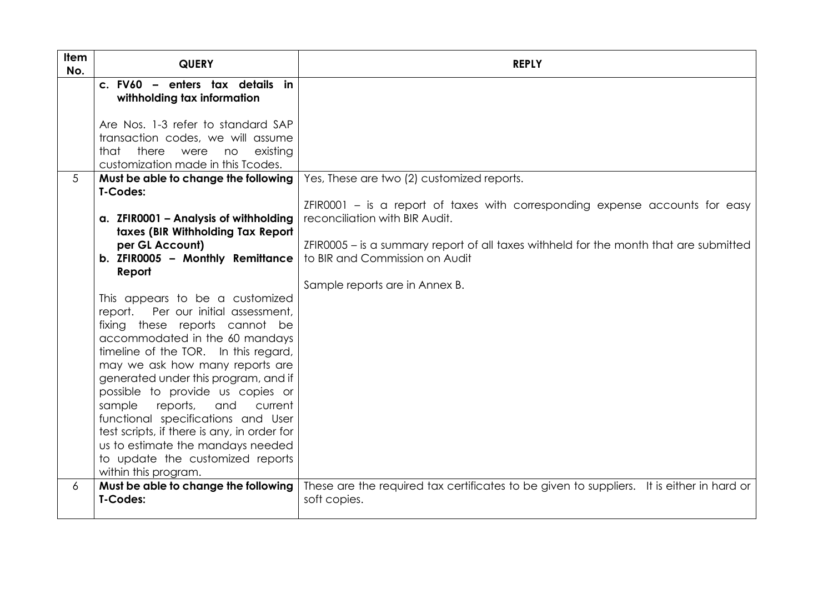| Item<br>No. | <b>QUERY</b>                                                                      | <b>REPLY</b>                                                                                                            |
|-------------|-----------------------------------------------------------------------------------|-------------------------------------------------------------------------------------------------------------------------|
|             | c. FV60 - enters tax details in<br>withholding tax information                    |                                                                                                                         |
|             | Are Nos. 1-3 refer to standard SAP                                                |                                                                                                                         |
|             | transaction codes, we will assume                                                 |                                                                                                                         |
|             | there<br>that<br>existing<br>were<br>no<br>customization made in this Tcodes.     |                                                                                                                         |
| 5           | Must be able to change the following<br>T-Codes:                                  | Yes, These are two (2) customized reports.                                                                              |
|             | a. ZFIR0001 - Analysis of withholding<br>taxes (BIR Withholding Tax Report        | ZFIR0001 – is a report of taxes with corresponding expense accounts for easy<br>reconciliation with BIR Audit.          |
|             | per GL Account)<br>b. ZFIR0005 - Monthly Remittance                               | ZFIR0005 – is a summary report of all taxes withheld for the month that are submitted<br>to BIR and Commission on Audit |
|             | Report                                                                            | Sample reports are in Annex B.                                                                                          |
|             | This appears to be a customized                                                   |                                                                                                                         |
|             | report.<br>Per our initial assessment,<br>fixing these reports cannot be          |                                                                                                                         |
|             | accommodated in the 60 mandays                                                    |                                                                                                                         |
|             | timeline of the TOR. In this regard,                                              |                                                                                                                         |
|             | may we ask how many reports are<br>generated under this program, and if           |                                                                                                                         |
|             | possible to provide us copies or                                                  |                                                                                                                         |
|             | sample<br>reports,<br>and<br>current                                              |                                                                                                                         |
|             | functional specifications and User<br>test scripts, if there is any, in order for |                                                                                                                         |
|             | us to estimate the mandays needed                                                 |                                                                                                                         |
|             | to update the customized reports                                                  |                                                                                                                         |
| 6           | within this program.<br>Must be able to change the following                      | These are the required tax certificates to be given to suppliers. It is either in hard or                               |
|             | T-Codes:                                                                          | soft copies.                                                                                                            |